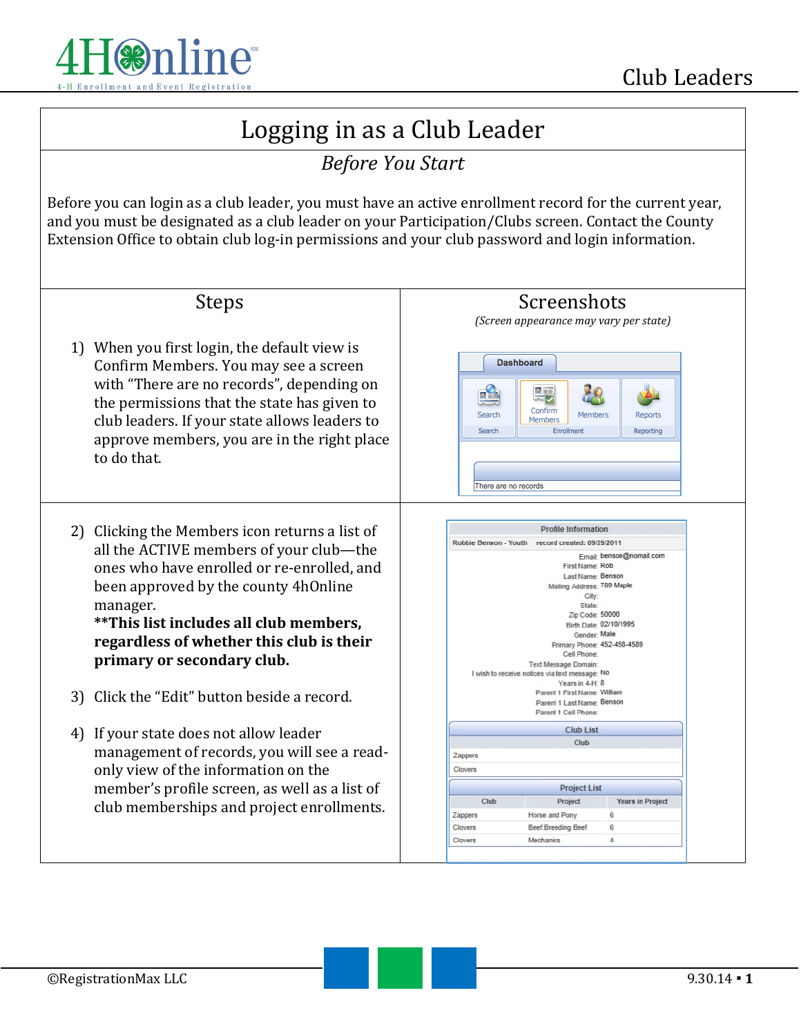

# Logging in as a Club Leader

### *Before You Start*

Before you can login as a club leader, you must have an active enrollment record for the current year, and you must be designated as a club leader on your Participation/Clubs screen. Contact the County Extension Office to obtain club log-in permissions and your club password and login information.

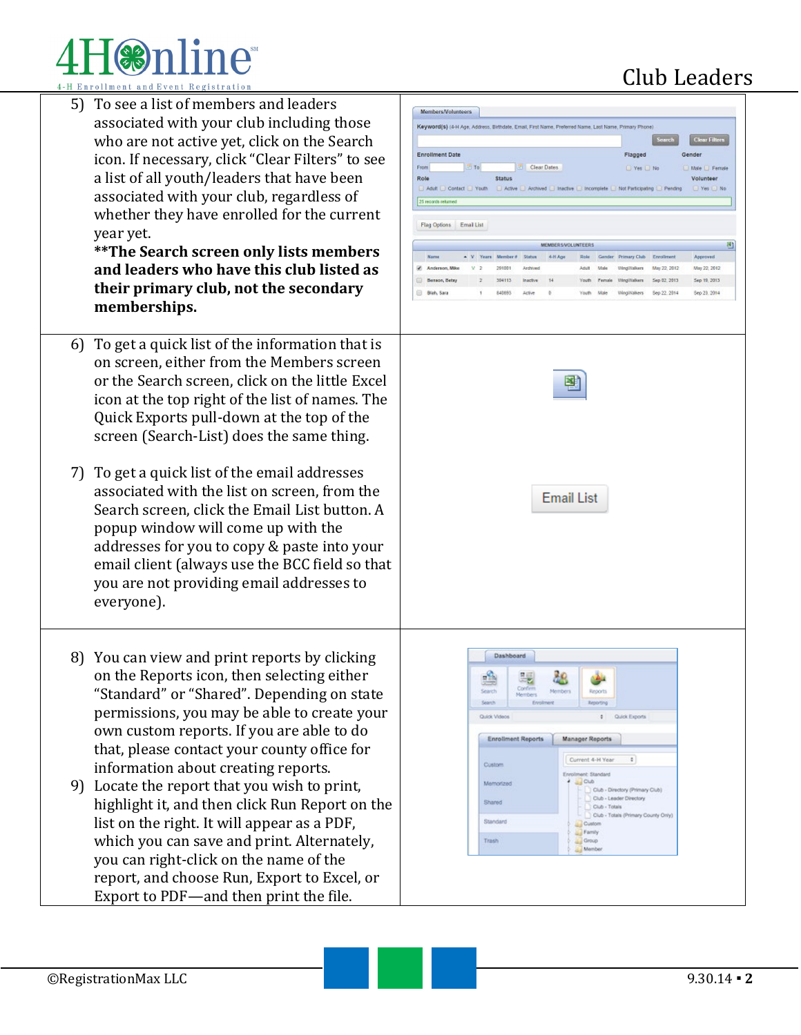# $\circ$ nline

5) To see a list of members and leaders associated with your club including those who are not active yet, click on the Search icon. If necessary, click "Clear Filters" to see a list of all youth/leaders that have been associated with your club, regardless of whether they have enrolled for the current year yet.

 $\frac{1}{16}$ 

 $\frac{1}{2}$ 

 $\mathbf{r}$ 

 $\begin{bmatrix} 0 \\ 0 \end{bmatrix}$  $\blacksquare$ 

**\*\*The Search screen only lists members and leaders who have this club listed as their primary club, not the secondary memberships.**

- 6) To get a quick list of the information that is on screen, either from the Members screen or the Search screen, click on the little Excel icon at the top right of the list of names. The Quick Exports pull-down at the top of the screen (Search-List) does the same thing.
- 7) To get a quick list of the email addresses associated with the list on screen, from the Search screen, click the Email List button. A popup window will come up with the addresses for you to copy & paste into your email client (always use the BCC field so that you are not providing email addresses to everyone).
- 8) You can view and print reports by clicking on the Reports icon, then selecting either "Standard" or "Shared". Depending on state permissions, you may be able to create your own custom reports. If you are able to do that, please contact your county office for information about creating reports.
- 9) Locate the report that you wish to print, highlight it, and then click Run Report on the list on the right. It will appear as a PDF, which you can save and print. Alternately, you can right-click on the name of the report, and choose Run, Export to Excel, or Export to PDF—and then print the file.

## Club Leaders

| Members/Volunteers                                                                                    |                     |                                  |                    |          |                                                    |                |                                                        |                                                                           |                              |
|-------------------------------------------------------------------------------------------------------|---------------------|----------------------------------|--------------------|----------|----------------------------------------------------|----------------|--------------------------------------------------------|---------------------------------------------------------------------------|------------------------------|
| Keyword(s) (4-H Age, Address, Birthdate, Email, First Name, Preferred Name, Last Name, Primary Phone) |                     |                                  |                    |          |                                                    |                |                                                        |                                                                           |                              |
|                                                                                                       |                     |                                  |                    |          |                                                    |                |                                                        | Search                                                                    | <b>Clear Filters</b>         |
| <b>Enrollment Date</b>                                                                                |                     |                                  |                    |          |                                                    |                | Flagged                                                |                                                                           | <b>Gender</b>                |
| From<br>Role                                                                                          | El To               | <b>Status</b>                    | Clear Dates        |          |                                                    |                | □ Yes □ No                                             |                                                                           | □ Male □ Female<br>Volunteer |
| Adult Contact Nouth                                                                                   |                     |                                  |                    |          |                                                    |                |                                                        | □ Active □ Archived □ Inactive □ Incomplete □ Not Participating □ Pending | □ Yes □ No                   |
| 25 records returned                                                                                   |                     |                                  |                    |          |                                                    |                |                                                        |                                                                           |                              |
|                                                                                                       |                     |                                  |                    |          |                                                    |                |                                                        |                                                                           |                              |
| Flag Options Email List                                                                               |                     |                                  |                    |          |                                                    |                |                                                        |                                                                           |                              |
|                                                                                                       |                     |                                  |                    |          | <b>MEMBER S/VOLUNTEERS</b>                         |                |                                                        |                                                                           | 圈                            |
| Narne                                                                                                 | V Years Member #    |                                  | Status             | 4-H Age  | Role                                               | Gender         | Primary Club                                           | Enrollment                                                                | Approved                     |
| Anderson, Mike                                                                                        | $\overline{z}$<br>v | 291001                           | Archived           |          | Adult                                              | <b>Male</b>    | WingWalkers                                            | May 22, 2012                                                              | May 22, 2012                 |
| Benson, Betsy<br>Blah, Sara<br>o                                                                      | z<br>Ŧ              | 394113<br>840893                 | Inactive<br>Active | 14<br>ö. | Youth<br>Youth                                     | Female<br>Male | WingWisBars<br>WingWalkers                             | Sep 02, 2013<br>Sep 22, 2014                                              | Sep 19, 2013<br>Sep 23, 2014 |
|                                                                                                       |                     |                                  |                    |          |                                                    |                |                                                        |                                                                           |                              |
|                                                                                                       |                     |                                  |                    |          |                                                    |                |                                                        |                                                                           |                              |
|                                                                                                       |                     |                                  |                    |          | <b>Email List</b>                                  |                |                                                        |                                                                           |                              |
|                                                                                                       | Search              | Dashboard                        | Confirm<br>Members | Members  |                                                    | Reports        |                                                        |                                                                           |                              |
|                                                                                                       |                     | Search Evestment<br>Quick Videos |                    |          |                                                    | Reporting      | # Quick Exports                                        |                                                                           |                              |
|                                                                                                       |                     | <b>Enrollment Reports</b>        |                    |          | <b>Manager Reports</b>                             |                |                                                        |                                                                           |                              |
|                                                                                                       |                     |                                  |                    |          | Current 4-H Year                                   |                | ÷.                                                     |                                                                           |                              |
|                                                                                                       | Custom              |                                  |                    |          | Enrolment: Standard                                |                |                                                        |                                                                           |                              |
|                                                                                                       |                     | Memorized                        |                    |          | $\frac{1}{2}$ Club                                 |                |                                                        |                                                                           |                              |
|                                                                                                       | Shared              |                                  |                    |          |                                                    |                |                                                        |                                                                           |                              |
|                                                                                                       |                     |                                  |                    |          |                                                    |                | Club - Totals<br>Club - Totals<br>Primary County Only) |                                                                           |                              |
|                                                                                                       |                     | Standard                         |                    |          | Custom                                             |                |                                                        |                                                                           |                              |
|                                                                                                       | Trash               |                                  |                    |          | <b>Lightney</b><br><b>Group</b><br><b>Allenber</b> |                |                                                        |                                                                           |                              |